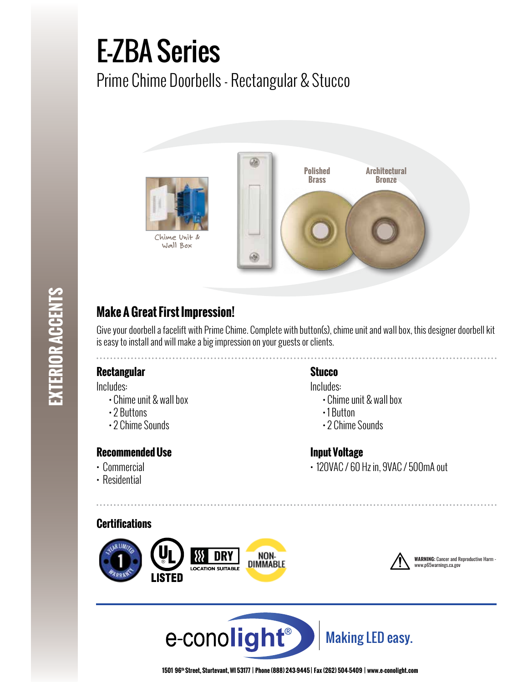# E-ZBA Series

Prime Chime Doorbells - Rectangular & Stucco



# **Make A Great First Impression!**

Give your doorbell a facelift with Prime Chime. Complete with button(s), chime unit and wall box, this designer doorbell kit is easy to install and will make a big impression on your guests or clients.

# **Rectangular Stucco**

Includes:

- Chime unit & wall box
- 2 Buttons
- 2 Chime Sounds

# **Recommended Use**

- Commercial
- Residential

Includes:

- Chime unit & wall box
- 1 Button
- 2 Chime Sounds

# **Input Voltage**

• 120VAC / 60 Hz in, 9VAC / 500mA out







**WARNING:** Cancer and Reproductive Harm www.p65warnings.ca.gov





**1501 96th Street, Sturtevant, WI 53177 | Phone (888) 243-9445 | Fax (262) 504-5409 | www.e–conolight.com**

**EXTERIOR ACCENTS EXTERIOR ACCENTS**